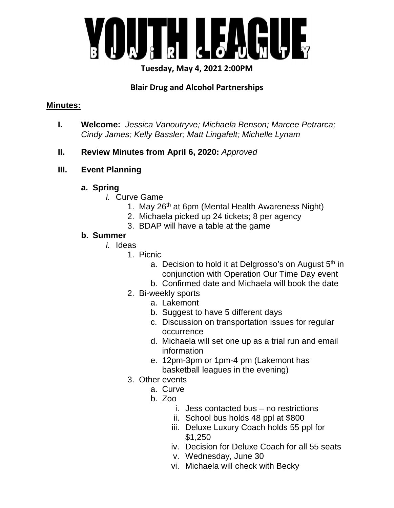

## **Tuesday, May 4, 2021 2:00PM**

# **Blair Drug and Alcohol Partnerships**

## **Minutes:**

- **I. Welcome:** *Jessica Vanoutryve; Michaela Benson; Marcee Petrarca; Cindy James; Kelly Bassler; Matt Lingafelt; Michelle Lynam*
- **II. Review Minutes from April 6, 2020:** *Approved*

## **III. Event Planning**

## **a. Spring**

- *i.* Curve Game
	- 1. May 26<sup>th</sup> at 6pm (Mental Health Awareness Night)
	- 2. Michaela picked up 24 tickets; 8 per agency
	- 3. BDAP will have a table at the game

## **b. Summer**

- *i.* Ideas
	- 1. Picnic
		- a. Decision to hold it at Delgrosso's on August  $5<sup>th</sup>$  in conjunction with Operation Our Time Day event
		- b. Confirmed date and Michaela will book the date
	- 2. Bi-weekly sports
		- a. Lakemont
		- b. Suggest to have 5 different days
		- c. Discussion on transportation issues for regular occurrence
		- d. Michaela will set one up as a trial run and email information
		- e. 12pm-3pm or 1pm-4 pm (Lakemont has basketball leagues in the evening)
	- 3. Other events
		- a. Curve
			- $b.$   $700$ 
				- i. Jess contacted bus no restrictions
				- ii. School bus holds 48 ppl at \$800
				- iii. Deluxe Luxury Coach holds 55 ppl for \$1,250
				- iv. Decision for Deluxe Coach for all 55 seats
				- v. Wednesday, June 30
				- vi. Michaela will check with Becky